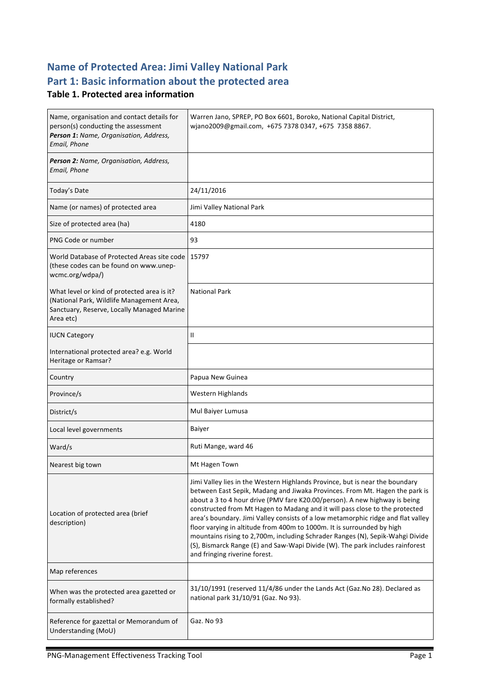## **Name of Protected Area: Jimi Valley National Park** Part 1: Basic information about the protected area

#### **Table 1. Protected area information**

| Name, organisation and contact details for<br>person(s) conducting the assessment<br>Person 1: Name, Organisation, Address,<br>Email, Phone         | Warren Jano, SPREP, PO Box 6601, Boroko, National Capital District,<br>wjano2009@gmail.com, +675 7378 0347, +675 7358 8867.                                                                                                                                                                                                                                                                                                                                                                                                                                                                                                                                                               |
|-----------------------------------------------------------------------------------------------------------------------------------------------------|-------------------------------------------------------------------------------------------------------------------------------------------------------------------------------------------------------------------------------------------------------------------------------------------------------------------------------------------------------------------------------------------------------------------------------------------------------------------------------------------------------------------------------------------------------------------------------------------------------------------------------------------------------------------------------------------|
| Person 2: Name, Organisation, Address,<br>Email, Phone                                                                                              |                                                                                                                                                                                                                                                                                                                                                                                                                                                                                                                                                                                                                                                                                           |
| Today's Date                                                                                                                                        | 24/11/2016                                                                                                                                                                                                                                                                                                                                                                                                                                                                                                                                                                                                                                                                                |
| Name (or names) of protected area                                                                                                                   | Jimi Valley National Park                                                                                                                                                                                                                                                                                                                                                                                                                                                                                                                                                                                                                                                                 |
| Size of protected area (ha)                                                                                                                         | 4180                                                                                                                                                                                                                                                                                                                                                                                                                                                                                                                                                                                                                                                                                      |
| PNG Code or number                                                                                                                                  | 93                                                                                                                                                                                                                                                                                                                                                                                                                                                                                                                                                                                                                                                                                        |
| World Database of Protected Areas site code<br>(these codes can be found on www.unep-<br>wcmc.org/wdpa/)                                            | 15797                                                                                                                                                                                                                                                                                                                                                                                                                                                                                                                                                                                                                                                                                     |
| What level or kind of protected area is it?<br>(National Park, Wildlife Management Area,<br>Sanctuary, Reserve, Locally Managed Marine<br>Area etc) | <b>National Park</b>                                                                                                                                                                                                                                                                                                                                                                                                                                                                                                                                                                                                                                                                      |
| <b>IUCN Category</b>                                                                                                                                | $\mathbf{H}$                                                                                                                                                                                                                                                                                                                                                                                                                                                                                                                                                                                                                                                                              |
| International protected area? e.g. World<br>Heritage or Ramsar?                                                                                     |                                                                                                                                                                                                                                                                                                                                                                                                                                                                                                                                                                                                                                                                                           |
| Country                                                                                                                                             | Papua New Guinea                                                                                                                                                                                                                                                                                                                                                                                                                                                                                                                                                                                                                                                                          |
| Province/s                                                                                                                                          | Western Highlands                                                                                                                                                                                                                                                                                                                                                                                                                                                                                                                                                                                                                                                                         |
| District/s                                                                                                                                          | Mul Baiyer Lumusa                                                                                                                                                                                                                                                                                                                                                                                                                                                                                                                                                                                                                                                                         |
| Local level governments                                                                                                                             | <b>Baiyer</b>                                                                                                                                                                                                                                                                                                                                                                                                                                                                                                                                                                                                                                                                             |
| Ward/s                                                                                                                                              | Ruti Mange, ward 46                                                                                                                                                                                                                                                                                                                                                                                                                                                                                                                                                                                                                                                                       |
| Nearest big town                                                                                                                                    | Mt Hagen Town                                                                                                                                                                                                                                                                                                                                                                                                                                                                                                                                                                                                                                                                             |
| Location of protected area (brief<br>description)                                                                                                   | Jimi Valley lies in the Western Highlands Province, but is near the boundary<br>between East Sepik, Madang and Jiwaka Provinces. From Mt. Hagen the park is<br>about a 3 to 4 hour drive (PMV fare K20.00/person). A new highway is being<br>constructed from Mt Hagen to Madang and it will pass close to the protected<br>area's boundary. Jimi Valley consists of a low metamorphic ridge and flat valley<br>floor varying in altitude from 400m to 1000m. It is surrounded by high<br>mountains rising to 2,700m, including Schrader Ranges (N), Sepik-Wahgi Divide<br>(S), Bismarck Range (E) and Saw-Wapi Divide (W). The park includes rainforest<br>and fringing riverine forest. |
| Map references                                                                                                                                      |                                                                                                                                                                                                                                                                                                                                                                                                                                                                                                                                                                                                                                                                                           |
| When was the protected area gazetted or<br>formally established?                                                                                    | 31/10/1991 (reserved 11/4/86 under the Lands Act (Gaz. No 28). Declared as<br>national park 31/10/91 (Gaz. No 93).                                                                                                                                                                                                                                                                                                                                                                                                                                                                                                                                                                        |
| Reference for gazettal or Memorandum of<br>Understanding (MoU)                                                                                      | Gaz. No 93                                                                                                                                                                                                                                                                                                                                                                                                                                                                                                                                                                                                                                                                                |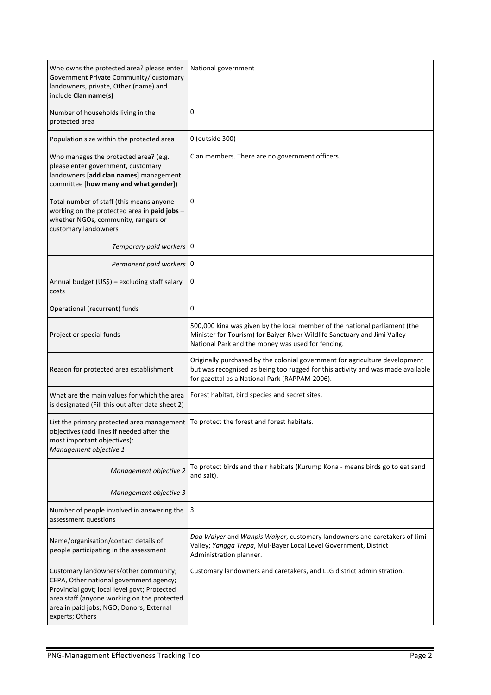| Who owns the protected area? please enter<br>Government Private Community/ customary<br>landowners, private, Other (name) and<br>include Clan name(s)                                                                                          | National government                                                                                                                                                                                              |
|------------------------------------------------------------------------------------------------------------------------------------------------------------------------------------------------------------------------------------------------|------------------------------------------------------------------------------------------------------------------------------------------------------------------------------------------------------------------|
| Number of households living in the<br>protected area                                                                                                                                                                                           | 0                                                                                                                                                                                                                |
| Population size within the protected area                                                                                                                                                                                                      | 0 (outside 300)                                                                                                                                                                                                  |
| Who manages the protected area? (e.g.<br>please enter government, customary<br>landowners [add clan names] management<br>committee [how many and what gender])                                                                                 | Clan members. There are no government officers.                                                                                                                                                                  |
| Total number of staff (this means anyone<br>working on the protected area in paid jobs -<br>whether NGOs, community, rangers or<br>customary landowners                                                                                        | 0                                                                                                                                                                                                                |
| Temporary paid workers 0                                                                                                                                                                                                                       |                                                                                                                                                                                                                  |
| Permanent paid workers 0                                                                                                                                                                                                                       |                                                                                                                                                                                                                  |
| Annual budget (US\$) - excluding staff salary<br>costs                                                                                                                                                                                         | 0                                                                                                                                                                                                                |
| Operational (recurrent) funds                                                                                                                                                                                                                  | 0                                                                                                                                                                                                                |
| Project or special funds                                                                                                                                                                                                                       | 500,000 kina was given by the local member of the national parliament (the<br>Minister for Tourism) for Baiyer River Wildlife Sanctuary and Jimi Valley<br>National Park and the money was used for fencing.     |
| Reason for protected area establishment                                                                                                                                                                                                        | Originally purchased by the colonial government for agriculture development<br>but was recognised as being too rugged for this activity and was made available<br>for gazettal as a National Park (RAPPAM 2006). |
| What are the main values for which the area<br>is designated (Fill this out after data sheet 2)                                                                                                                                                | Forest habitat, bird species and secret sites.                                                                                                                                                                   |
| List the primary protected area management   To protect the forest and forest habitats.<br>objectives (add lines if needed after the<br>most important objectives):<br>Management objective 1                                                  |                                                                                                                                                                                                                  |
| Management objective 2                                                                                                                                                                                                                         | To protect birds and their habitats (Kurump Kona - means birds go to eat sand<br>and salt).                                                                                                                      |
| Management objective 3                                                                                                                                                                                                                         |                                                                                                                                                                                                                  |
| Number of people involved in answering the<br>assessment questions                                                                                                                                                                             | 3                                                                                                                                                                                                                |
| Name/organisation/contact details of<br>people participating in the assessment                                                                                                                                                                 | Doa Waiyer and Wanpis Waiyer, customary landowners and caretakers of Jimi<br>Valley; Yangga Trepa, Mul-Bayer Local Level Government, District<br>Administration planner.                                         |
| Customary landowners/other community;<br>CEPA, Other national government agency;<br>Provincial govt; local level govt; Protected<br>area staff (anyone working on the protected<br>area in paid jobs; NGO; Donors; External<br>experts; Others | Customary landowners and caretakers, and LLG district administration.                                                                                                                                            |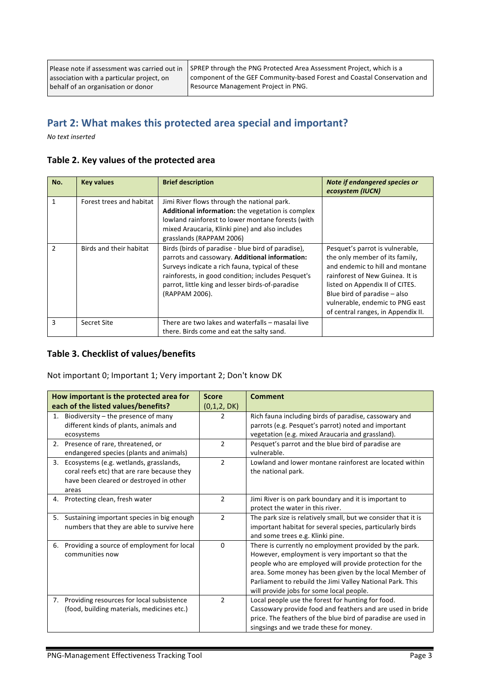SPREP through the PNG Protected Area Assessment Project, which is a component of the GEF Community-based Forest and Coastal Conservation and Resource Management Project in PNG.

### Part 2: What makes this protected area special and important?

*No text inserted*

|  |  |  | Table 2. Key values of the protected area |  |
|--|--|--|-------------------------------------------|--|
|--|--|--|-------------------------------------------|--|

| No.           | <b>Key values</b>        | <b>Brief description</b>                                                                                                                                                                                                                                                            | Note if endangered species or<br>ecosystem (IUCN)                                                                                                                                                                                                                                     |
|---------------|--------------------------|-------------------------------------------------------------------------------------------------------------------------------------------------------------------------------------------------------------------------------------------------------------------------------------|---------------------------------------------------------------------------------------------------------------------------------------------------------------------------------------------------------------------------------------------------------------------------------------|
| 1             | Forest trees and habitat | Jimi River flows through the national park.<br>Additional information: the vegetation is complex<br>lowland rainforest to lower montane forests (with<br>mixed Araucaria, Klinki pine) and also includes<br>grasslands (RAPPAM 2006)                                                |                                                                                                                                                                                                                                                                                       |
| $\mathfrak z$ | Birds and their habitat  | Birds (birds of paradise - blue bird of paradise),<br>parrots and cassowary. Additional information:<br>Surveys indicate a rich fauna, typical of these<br>rainforests, in good condition; includes Pesquet's<br>parrot, little king and lesser birds-of-paradise<br>(RAPPAM 2006). | Pesquet's parrot is vulnerable,<br>the only member of its family,<br>and endemic to hill and montane<br>rainforest of New Guinea. It is<br>listed on Appendix II of CITES.<br>Blue bird of paradise $-$ also<br>vulnerable, endemic to PNG east<br>of central ranges, in Appendix II. |
| 3             | Secret Site              | There are two lakes and waterfalls - masalai live<br>there. Birds come and eat the salty sand.                                                                                                                                                                                      |                                                                                                                                                                                                                                                                                       |

#### **Table 3. Checklist of values/benefits**

Not important 0; Important 1; Very important 2; Don't know DK

|    | How important is the protected area for                                                                                                   | <b>Score</b>   | <b>Comment</b>                                                                                                                                                                                                                                                                                                                            |
|----|-------------------------------------------------------------------------------------------------------------------------------------------|----------------|-------------------------------------------------------------------------------------------------------------------------------------------------------------------------------------------------------------------------------------------------------------------------------------------------------------------------------------------|
|    | each of the listed values/benefits?                                                                                                       | (0,1,2, DK)    |                                                                                                                                                                                                                                                                                                                                           |
| 1. | Biodiversity $-$ the presence of many<br>different kinds of plants, animals and<br>ecosystems                                             | 2              | Rich fauna including birds of paradise, cassowary and<br>parrots (e.g. Pesquet's parrot) noted and important<br>vegetation (e.g. mixed Araucaria and grassland).                                                                                                                                                                          |
|    | 2. Presence of rare, threatened, or<br>endangered species (plants and animals)                                                            | $\overline{2}$ | Pesquet's parrot and the blue bird of paradise are<br>vulnerable.                                                                                                                                                                                                                                                                         |
| 3. | Ecosystems (e.g. wetlands, grasslands,<br>coral reefs etc) that are rare because they<br>have been cleared or destroyed in other<br>areas | $\overline{2}$ | Lowland and lower montane rainforest are located within<br>the national park.                                                                                                                                                                                                                                                             |
| 4. | Protecting clean, fresh water                                                                                                             | $\overline{2}$ | Jimi River is on park boundary and it is important to<br>protect the water in this river.                                                                                                                                                                                                                                                 |
| 5. | Sustaining important species in big enough<br>numbers that they are able to survive here                                                  | $\overline{2}$ | The park size is relatively small, but we consider that it is<br>important habitat for several species, particularly birds<br>and some trees e.g. Klinki pine.                                                                                                                                                                            |
| 6. | Providing a source of employment for local<br>communities now                                                                             | 0              | There is currently no employment provided by the park.<br>However, employment is very important so that the<br>people who are employed will provide protection for the<br>area. Some money has been given by the local Member of<br>Parliament to rebuild the Jimi Valley National Park. This<br>will provide jobs for some local people. |
| 7. | Providing resources for local subsistence<br>(food, building materials, medicines etc.)                                                   | $\overline{2}$ | Local people use the forest for hunting for food.<br>Cassowary provide food and feathers and are used in bride<br>price. The feathers of the blue bird of paradise are used in<br>singsings and we trade these for money.                                                                                                                 |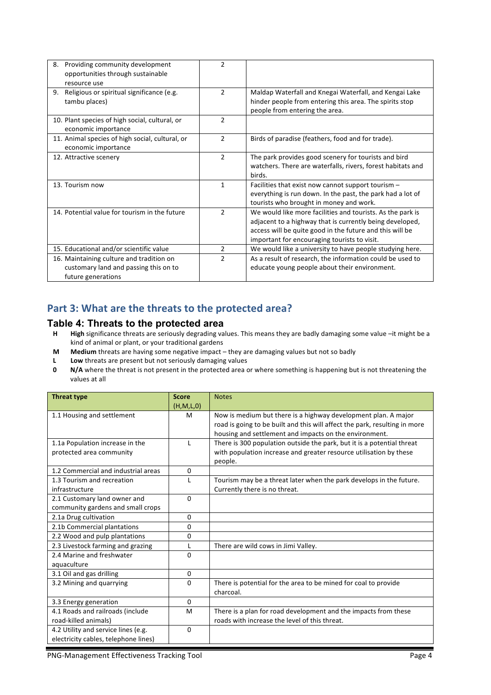| Providing community development<br>8.<br>opportunities through sustainable<br>resource use              | $\overline{2}$ |                                                                                                                                                                                                                                    |
|---------------------------------------------------------------------------------------------------------|----------------|------------------------------------------------------------------------------------------------------------------------------------------------------------------------------------------------------------------------------------|
| Religious or spiritual significance (e.g.<br>9.<br>tambu places)                                        | $\overline{2}$ | Maldap Waterfall and Knegai Waterfall, and Kengai Lake<br>hinder people from entering this area. The spirits stop<br>people from entering the area.                                                                                |
| 10. Plant species of high social, cultural, or<br>economic importance                                   | $\overline{2}$ |                                                                                                                                                                                                                                    |
| 11. Animal species of high social, cultural, or<br>economic importance                                  | $\mathcal{P}$  | Birds of paradise (feathers, food and for trade).                                                                                                                                                                                  |
| 12. Attractive scenery                                                                                  | $\overline{2}$ | The park provides good scenery for tourists and bird<br>watchers. There are waterfalls, rivers, forest habitats and<br>birds.                                                                                                      |
| 13. Tourism now                                                                                         | 1              | Facilities that exist now cannot support tourism -<br>everything is run down. In the past, the park had a lot of<br>tourists who brought in money and work.                                                                        |
| 14. Potential value for tourism in the future                                                           | $\overline{2}$ | We would like more facilities and tourists. As the park is<br>adjacent to a highway that is currently being developed,<br>access will be quite good in the future and this will be<br>important for encouraging tourists to visit. |
| 15. Educational and/or scientific value                                                                 | $\overline{2}$ | We would like a university to have people studying here.                                                                                                                                                                           |
| 16. Maintaining culture and tradition on<br>customary land and passing this on to<br>future generations | $\mathfrak{p}$ | As a result of research, the information could be used to<br>educate young people about their environment.                                                                                                                         |

### Part 3: What are the threats to the protected area?

#### **Table 4: Threats to the protected area**

- **H High** significance threats are seriously degrading values. This means they are badly damaging some value –it might be a kind of animal or plant, or your traditional gardens
- **M** Medium threats are having some negative impact they are damaging values but not so badly
- **L** Low threats are present but not seriously damaging values<br>**0** N/A where the threat is not present in the protected area of
- **N/A** where the threat is not present in the protected area or where something is happening but is not threatening the values at all

| <b>Threat type</b>                   | <b>Score</b> | <b>Notes</b>                                                               |
|--------------------------------------|--------------|----------------------------------------------------------------------------|
|                                      | (H,M,L,0)    |                                                                            |
| 1.1 Housing and settlement           | M            | Now is medium but there is a highway development plan. A major             |
|                                      |              | road is going to be built and this will affect the park, resulting in more |
|                                      |              | housing and settlement and impacts on the environment.                     |
| 1.1a Population increase in the      |              | There is 300 population outside the park, but it is a potential threat     |
| protected area community             |              | with population increase and greater resource utilisation by these         |
|                                      |              | people.                                                                    |
| 1.2 Commercial and industrial areas  | $\Omega$     |                                                                            |
| 1.3 Tourism and recreation           |              | Tourism may be a threat later when the park develops in the future.        |
| infrastructure                       |              | Currently there is no threat.                                              |
| 2.1 Customary land owner and         | $\Omega$     |                                                                            |
| community gardens and small crops    |              |                                                                            |
| 2.1a Drug cultivation                | $\mathbf{0}$ |                                                                            |
| 2.1b Commercial plantations          | $\Omega$     |                                                                            |
| 2.2 Wood and pulp plantations        | 0            |                                                                            |
| 2.3 Livestock farming and grazing    |              | There are wild cows in Jimi Valley.                                        |
| 2.4 Marine and freshwater            | $\Omega$     |                                                                            |
| aquaculture                          |              |                                                                            |
| 3.1 Oil and gas drilling             | 0            |                                                                            |
| 3.2 Mining and quarrying             | $\Omega$     | There is potential for the area to be mined for coal to provide            |
|                                      |              | charcoal.                                                                  |
| 3.3 Energy generation                | $\Omega$     |                                                                            |
| 4.1 Roads and railroads (include     | M            | There is a plan for road development and the impacts from these            |
| road-killed animals)                 |              | roads with increase the level of this threat.                              |
| 4.2 Utility and service lines (e.g.  | $\Omega$     |                                                                            |
| electricity cables, telephone lines) |              |                                                                            |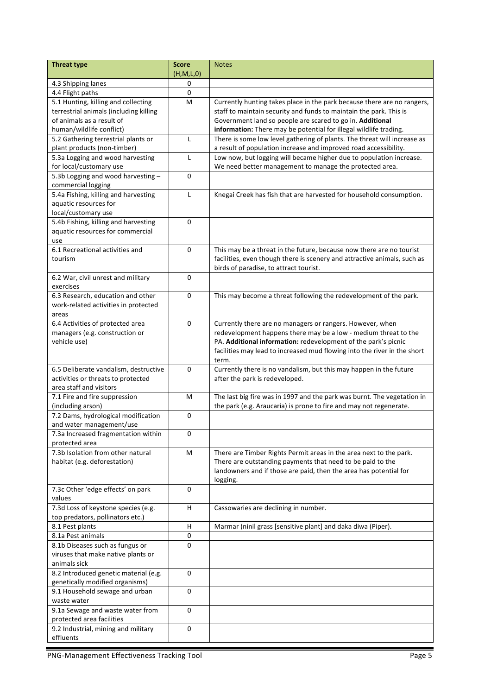| <b>Threat type</b>                                          | <b>Score</b>   | <b>Notes</b>                                                                                         |
|-------------------------------------------------------------|----------------|------------------------------------------------------------------------------------------------------|
| 4.3 Shipping lanes                                          | (H,M,L,0)<br>0 |                                                                                                      |
| 4.4 Flight paths                                            | 0              |                                                                                                      |
| 5.1 Hunting, killing and collecting                         | M              | Currently hunting takes place in the park because there are no rangers,                              |
| terrestrial animals (including killing                      |                | staff to maintain security and funds to maintain the park. This is                                   |
| of animals as a result of                                   |                | Government land so people are scared to go in. Additional                                            |
| human/wildlife conflict)                                    |                | information: There may be potential for illegal wildlife trading.                                    |
| 5.2 Gathering terrestrial plants or                         | Г              | There is some low level gathering of plants. The threat will increase as                             |
| plant products (non-timber)                                 |                | a result of population increase and improved road accessibility.                                     |
| 5.3a Logging and wood harvesting                            | L              | Low now, but logging will became higher due to population increase.                                  |
| for local/customary use                                     |                | We need better management to manage the protected area.                                              |
| 5.3b Logging and wood harvesting -                          | 0              |                                                                                                      |
| commercial logging                                          |                |                                                                                                      |
| 5.4a Fishing, killing and harvesting                        | L              | Knegai Creek has fish that are harvested for household consumption.                                  |
| aquatic resources for                                       |                |                                                                                                      |
| local/customary use<br>5.4b Fishing, killing and harvesting | 0              |                                                                                                      |
| aquatic resources for commercial                            |                |                                                                                                      |
| use                                                         |                |                                                                                                      |
| 6.1 Recreational activities and                             | 0              | This may be a threat in the future, because now there are no tourist                                 |
| tourism                                                     |                | facilities, even though there is scenery and attractive animals, such as                             |
|                                                             |                | birds of paradise, to attract tourist.                                                               |
| 6.2 War, civil unrest and military                          | 0              |                                                                                                      |
| exercises                                                   |                |                                                                                                      |
| 6.3 Research, education and other                           | 0              | This may become a threat following the redevelopment of the park.                                    |
| work-related activities in protected                        |                |                                                                                                      |
| areas                                                       |                |                                                                                                      |
| 6.4 Activities of protected area                            | 0              | Currently there are no managers or rangers. However, when                                            |
| managers (e.g. construction or                              |                | redevelopment happens there may be a low - medium threat to the                                      |
| vehicle use)                                                |                | PA. Additional information: redevelopment of the park's picnic                                       |
|                                                             |                | facilities may lead to increased mud flowing into the river in the short                             |
| 6.5 Deliberate vandalism, destructive                       | $\Omega$       | term.                                                                                                |
| activities or threats to protected                          |                | Currently there is no vandalism, but this may happen in the future<br>after the park is redeveloped. |
| area staff and visitors                                     |                |                                                                                                      |
| 7.1 Fire and fire suppression                               | M              | The last big fire was in 1997 and the park was burnt. The vegetation in                              |
| (including arson)                                           |                | the park (e.g. Araucaria) is prone to fire and may not regenerate.                                   |
| 7.2 Dams, hydrological modification                         | $\mathbf 0$    |                                                                                                      |
| and water management/use                                    |                |                                                                                                      |
| 7.3a Increased fragmentation within                         | 0              |                                                                                                      |
| protected area                                              |                |                                                                                                      |
| 7.3b Isolation from other natural                           | M              | There are Timber Rights Permit areas in the area next to the park.                                   |
| habitat (e.g. deforestation)                                |                | There are outstanding payments that need to be paid to the                                           |
|                                                             |                | landowners and if those are paid, then the area has potential for                                    |
|                                                             |                | logging.                                                                                             |
| 7.3c Other 'edge effects' on park<br>values                 | $\Omega$       |                                                                                                      |
| 7.3d Loss of keystone species (e.g.                         | H.             | Cassowaries are declining in number.                                                                 |
| top predators, pollinators etc.)                            |                |                                                                                                      |
| 8.1 Pest plants                                             | н              | Marmar (ninil grass [sensitive plant] and daka diwa (Piper).                                         |
| 8.1a Pest animals                                           | 0              |                                                                                                      |
| 8.1b Diseases such as fungus or                             | $\Omega$       |                                                                                                      |
| viruses that make native plants or                          |                |                                                                                                      |
| animals sick                                                |                |                                                                                                      |
| 8.2 Introduced genetic material (e.g.                       | 0              |                                                                                                      |
| genetically modified organisms)                             |                |                                                                                                      |
| 9.1 Household sewage and urban                              | $\mathbf 0$    |                                                                                                      |
| waste water                                                 |                |                                                                                                      |
| 9.1a Sewage and waste water from                            | 0              |                                                                                                      |
| protected area facilities                                   |                |                                                                                                      |
| 9.2 Industrial, mining and military                         | 0              |                                                                                                      |
| effluents                                                   |                |                                                                                                      |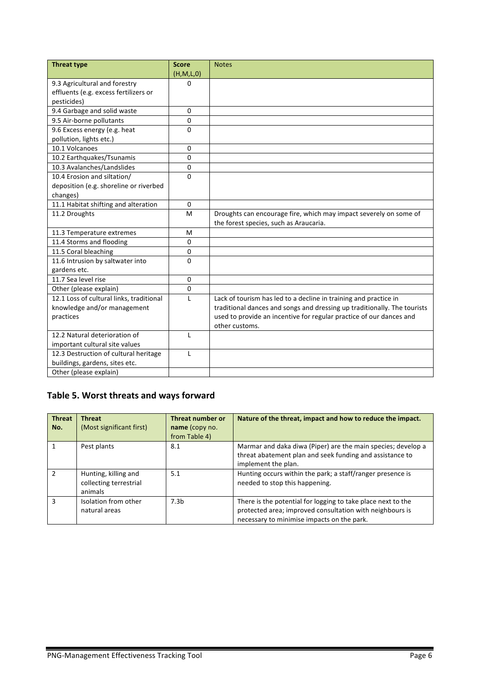| <b>Threat type</b>                       | <b>Score</b> | <b>Notes</b>                                                             |
|------------------------------------------|--------------|--------------------------------------------------------------------------|
|                                          | (H,M,L,0)    |                                                                          |
| 9.3 Agricultural and forestry            | 0            |                                                                          |
| effluents (e.g. excess fertilizers or    |              |                                                                          |
| pesticides)                              |              |                                                                          |
| 9.4 Garbage and solid waste              | $\mathbf{0}$ |                                                                          |
| 9.5 Air-borne pollutants                 | 0            |                                                                          |
| 9.6 Excess energy (e.g. heat             | $\Omega$     |                                                                          |
| pollution, lights etc.)                  |              |                                                                          |
| 10.1 Volcanoes                           | $\mathbf{0}$ |                                                                          |
| 10.2 Earthquakes/Tsunamis                | 0            |                                                                          |
| 10.3 Avalanches/Landslides               | 0            |                                                                          |
| 10.4 Erosion and siltation/              | $\Omega$     |                                                                          |
| deposition (e.g. shoreline or riverbed   |              |                                                                          |
| changes)                                 |              |                                                                          |
| 11.1 Habitat shifting and alteration     | $\mathbf{0}$ |                                                                          |
| 11.2 Droughts                            | M            | Droughts can encourage fire, which may impact severely on some of        |
|                                          |              | the forest species, such as Araucaria.                                   |
| 11.3 Temperature extremes                | M            |                                                                          |
| 11.4 Storms and flooding                 | $\mathbf{0}$ |                                                                          |
| 11.5 Coral bleaching                     | $\mathbf 0$  |                                                                          |
| 11.6 Intrusion by saltwater into         | $\Omega$     |                                                                          |
| gardens etc.                             |              |                                                                          |
| 11.7 Sea level rise                      | $\Omega$     |                                                                          |
| Other (please explain)                   | $\Omega$     |                                                                          |
| 12.1 Loss of cultural links, traditional | L            | Lack of tourism has led to a decline in training and practice in         |
| knowledge and/or management              |              | traditional dances and songs and dressing up traditionally. The tourists |
| practices                                |              | used to provide an incentive for regular practice of our dances and      |
|                                          |              | other customs.                                                           |
| 12.2 Natural deterioration of            | L            |                                                                          |
| important cultural site values           |              |                                                                          |
| 12.3 Destruction of cultural heritage    | $\mathbf{I}$ |                                                                          |
| buildings, gardens, sites etc.           |              |                                                                          |
| Other (please explain)                   |              |                                                                          |

## Table 5. Worst threats and ways forward

| <b>Threat</b><br>No. | <b>Threat</b><br>(Most significant first)                 | Threat number or<br>name (copy no.<br>from Table 4) | Nature of the threat, impact and how to reduce the impact.                                                                                                             |
|----------------------|-----------------------------------------------------------|-----------------------------------------------------|------------------------------------------------------------------------------------------------------------------------------------------------------------------------|
|                      | Pest plants                                               | 8.1                                                 | Marmar and daka diwa (Piper) are the main species; develop a<br>threat abatement plan and seek funding and assistance to<br>implement the plan.                        |
| $\mathcal{P}$        | Hunting, killing and<br>collecting terrestrial<br>animals | 5.1                                                 | Hunting occurs within the park; a staff/ranger presence is<br>needed to stop this happening.                                                                           |
| ٩                    | Isolation from other<br>natural areas                     | 7.3 <sub>h</sub>                                    | There is the potential for logging to take place next to the<br>protected area; improved consultation with neighbours is<br>necessary to minimise impacts on the park. |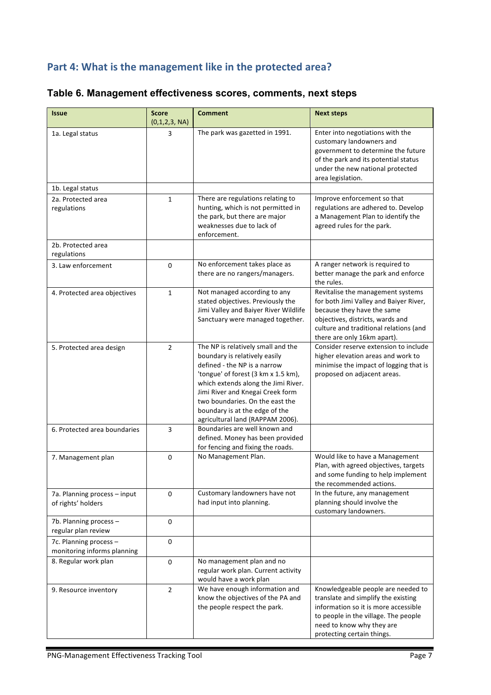## Part 4: What is the management like in the protected area?

| <b>Issue</b>                                          | <b>Score</b>       | <b>Comment</b>                                                                                                                                                                                                                                                                                                                 | <b>Next steps</b>                                                                                                                                                                                                      |
|-------------------------------------------------------|--------------------|--------------------------------------------------------------------------------------------------------------------------------------------------------------------------------------------------------------------------------------------------------------------------------------------------------------------------------|------------------------------------------------------------------------------------------------------------------------------------------------------------------------------------------------------------------------|
| 1a. Legal status                                      | (0,1,2,3, NA)<br>3 | The park was gazetted in 1991.                                                                                                                                                                                                                                                                                                 | Enter into negotiations with the<br>customary landowners and<br>government to determine the future<br>of the park and its potential status<br>under the new national protected<br>area legislation.                    |
| 1b. Legal status                                      |                    |                                                                                                                                                                                                                                                                                                                                |                                                                                                                                                                                                                        |
| 2a. Protected area<br>regulations                     | $\mathbf{1}$       | There are regulations relating to<br>hunting, which is not permitted in<br>the park, but there are major<br>weaknesses due to lack of<br>enforcement.                                                                                                                                                                          | Improve enforcement so that<br>regulations are adhered to. Develop<br>a Management Plan to identify the<br>agreed rules for the park.                                                                                  |
| 2b. Protected area<br>regulations                     |                    |                                                                                                                                                                                                                                                                                                                                |                                                                                                                                                                                                                        |
| 3. Law enforcement                                    | 0                  | No enforcement takes place as<br>there are no rangers/managers.                                                                                                                                                                                                                                                                | A ranger network is required to<br>better manage the park and enforce<br>the rules.                                                                                                                                    |
| 4. Protected area objectives                          | $\mathbf{1}$       | Not managed according to any<br>stated objectives. Previously the<br>Jimi Valley and Baiyer River Wildlife<br>Sanctuary were managed together.                                                                                                                                                                                 | Revitalise the management systems<br>for both Jimi Valley and Baiyer River,<br>because they have the same<br>objectives, districts, wards and<br>culture and traditional relations (and<br>there are only 16km apart). |
| 5. Protected area design                              | $\overline{2}$     | The NP is relatively small and the<br>boundary is relatively easily<br>defined - the NP is a narrow<br>'tongue' of forest (3 km x 1.5 km),<br>which extends along the Jimi River.<br>Jimi River and Knegai Creek form<br>two boundaries. On the east the<br>boundary is at the edge of the<br>agricultural land (RAPPAM 2006). | Consider reserve extension to include<br>higher elevation areas and work to<br>minimise the impact of logging that is<br>proposed on adjacent areas.                                                                   |
| 6. Protected area boundaries                          | 3                  | Boundaries are well known and<br>defined. Money has been provided<br>for fencing and fixing the roads.                                                                                                                                                                                                                         |                                                                                                                                                                                                                        |
| 7. Management plan                                    | 0                  | No Management Plan.                                                                                                                                                                                                                                                                                                            | Would like to have a Management<br>Plan, with agreed objectives, targets<br>and some funding to help implement<br>the recommended actions.                                                                             |
| 7a. Planning process - input<br>of rights' holders    | $\pmb{0}$          | Customary landowners have not<br>had input into planning.                                                                                                                                                                                                                                                                      | In the future, any management<br>planning should involve the<br>customary landowners.                                                                                                                                  |
| 7b. Planning process -<br>regular plan review         | 0                  |                                                                                                                                                                                                                                                                                                                                |                                                                                                                                                                                                                        |
| 7c. Planning process -<br>monitoring informs planning | 0                  |                                                                                                                                                                                                                                                                                                                                |                                                                                                                                                                                                                        |
| 8. Regular work plan                                  | 0                  | No management plan and no<br>regular work plan. Current activity<br>would have a work plan                                                                                                                                                                                                                                     |                                                                                                                                                                                                                        |
| 9. Resource inventory                                 | $\overline{2}$     | We have enough information and<br>know the objectives of the PA and<br>the people respect the park.                                                                                                                                                                                                                            | Knowledgeable people are needed to<br>translate and simplify the existing<br>information so it is more accessible<br>to people in the village. The people<br>need to know why they are<br>protecting certain things.   |

## **Table 6. Management effectiveness scores, comments, next steps**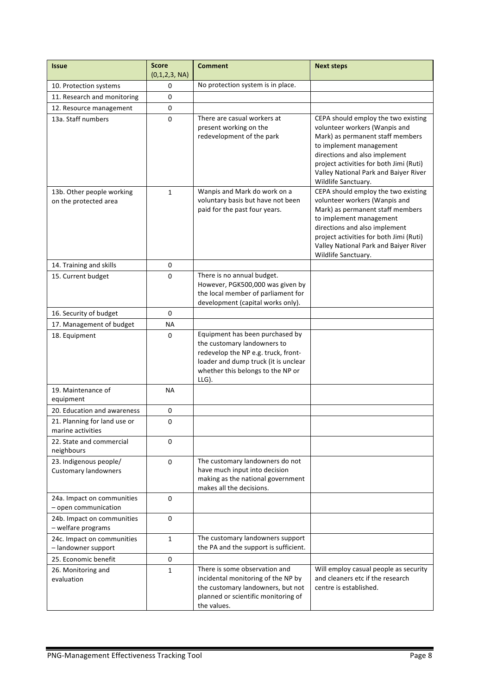| <b>Issue</b>                                          | <b>Score</b><br>(0,1,2,3, NA) | <b>Comment</b>                                                                                                                                                                              | <b>Next steps</b>                                                                                                                                                                                                                                                               |
|-------------------------------------------------------|-------------------------------|---------------------------------------------------------------------------------------------------------------------------------------------------------------------------------------------|---------------------------------------------------------------------------------------------------------------------------------------------------------------------------------------------------------------------------------------------------------------------------------|
| 10. Protection systems                                | 0                             | No protection system is in place.                                                                                                                                                           |                                                                                                                                                                                                                                                                                 |
| 11. Research and monitoring                           | 0                             |                                                                                                                                                                                             |                                                                                                                                                                                                                                                                                 |
| 12. Resource management                               | $\pmb{0}$                     |                                                                                                                                                                                             |                                                                                                                                                                                                                                                                                 |
| 13a. Staff numbers                                    | 0                             | There are casual workers at<br>present working on the<br>redevelopment of the park                                                                                                          | CEPA should employ the two existing<br>volunteer workers (Wanpis and<br>Mark) as permanent staff members<br>to implement management<br>directions and also implement<br>project activities for both Jimi (Ruti)<br>Valley National Park and Baiyer River<br>Wildlife Sanctuary. |
| 13b. Other people working<br>on the protected area    | $\mathbf{1}$                  | Wanpis and Mark do work on a<br>voluntary basis but have not been<br>paid for the past four years.                                                                                          | CEPA should employ the two existing<br>volunteer workers (Wanpis and<br>Mark) as permanent staff members<br>to implement management<br>directions and also implement<br>project activities for both Jimi (Ruti)<br>Valley National Park and Baiyer River<br>Wildlife Sanctuary. |
| 14. Training and skills                               | 0                             |                                                                                                                                                                                             |                                                                                                                                                                                                                                                                                 |
| 15. Current budget                                    | 0                             | There is no annual budget.<br>However, PGK500,000 was given by<br>the local member of parliament for<br>development (capital works only).                                                   |                                                                                                                                                                                                                                                                                 |
| 16. Security of budget                                | 0                             |                                                                                                                                                                                             |                                                                                                                                                                                                                                                                                 |
| 17. Management of budget                              | <b>NA</b>                     |                                                                                                                                                                                             |                                                                                                                                                                                                                                                                                 |
| 18. Equipment                                         | 0                             | Equipment has been purchased by<br>the customary landowners to<br>redevelop the NP e.g. truck, front-<br>loader and dump truck (it is unclear<br>whether this belongs to the NP or<br>LLG). |                                                                                                                                                                                                                                                                                 |
| 19. Maintenance of<br>equipment                       | <b>NA</b>                     |                                                                                                                                                                                             |                                                                                                                                                                                                                                                                                 |
| 20. Education and awareness                           | 0                             |                                                                                                                                                                                             |                                                                                                                                                                                                                                                                                 |
| 21. Planning for land use or<br>marine activities     | 0                             |                                                                                                                                                                                             |                                                                                                                                                                                                                                                                                 |
| 22. State and commercial<br>neighbours                | 0                             |                                                                                                                                                                                             |                                                                                                                                                                                                                                                                                 |
| 23. Indigenous people/<br><b>Customary landowners</b> | 0                             | The customary landowners do not<br>have much input into decision<br>making as the national government<br>makes all the decisions.                                                           |                                                                                                                                                                                                                                                                                 |
| 24a. Impact on communities<br>$-$ open communication  | $\Omega$                      |                                                                                                                                                                                             |                                                                                                                                                                                                                                                                                 |
| 24b. Impact on communities<br>- welfare programs      | 0                             |                                                                                                                                                                                             |                                                                                                                                                                                                                                                                                 |
| 24c. Impact on communities<br>- landowner support     | $\mathbf{1}$                  | The customary landowners support<br>the PA and the support is sufficient.                                                                                                                   |                                                                                                                                                                                                                                                                                 |
| 25. Economic benefit                                  | 0                             |                                                                                                                                                                                             |                                                                                                                                                                                                                                                                                 |
| 26. Monitoring and<br>evaluation                      | $\mathbf{1}$                  | There is some observation and<br>incidental monitoring of the NP by<br>the customary landowners, but not<br>planned or scientific monitoring of<br>the values.                              | Will employ casual people as security<br>and cleaners etc if the research<br>centre is established.                                                                                                                                                                             |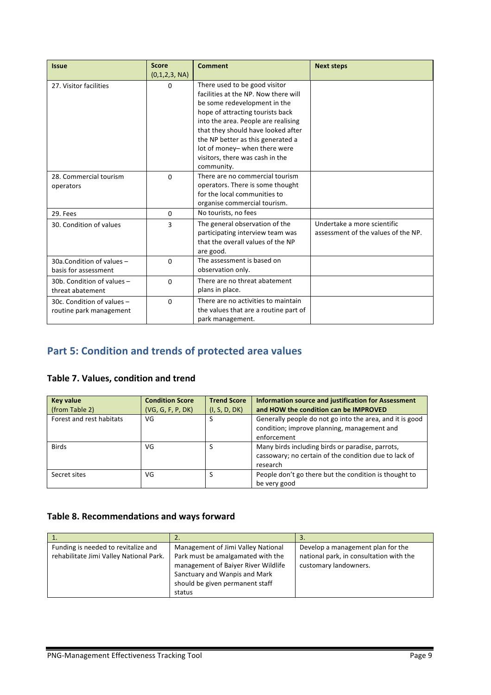| <b>Issue</b>                                          | <b>Score</b><br>(0,1,2,3, NA) | <b>Comment</b>                                                                                                                                                                                                                                                                                                                                | <b>Next steps</b>                                                  |
|-------------------------------------------------------|-------------------------------|-----------------------------------------------------------------------------------------------------------------------------------------------------------------------------------------------------------------------------------------------------------------------------------------------------------------------------------------------|--------------------------------------------------------------------|
| 27. Visitor facilities                                | 0                             | There used to be good visitor<br>facilities at the NP. Now there will<br>be some redevelopment in the<br>hope of attracting tourists back<br>into the area. People are realising<br>that they should have looked after<br>the NP better as this generated a<br>lot of money- when there were<br>visitors, there was cash in the<br>community. |                                                                    |
| 28. Commercial tourism<br>operators                   | $\Omega$                      | There are no commercial tourism<br>operators. There is some thought<br>for the local communities to<br>organise commercial tourism.                                                                                                                                                                                                           |                                                                    |
| 29. Fees                                              | $\Omega$                      | No tourists, no fees                                                                                                                                                                                                                                                                                                                          |                                                                    |
| 30. Condition of values                               | 3                             | The general observation of the<br>participating interview team was<br>that the overall values of the NP<br>are good.                                                                                                                                                                                                                          | Undertake a more scientific<br>assessment of the values of the NP. |
| 30a.Condition of values -<br>basis for assessment     | 0                             | The assessment is based on<br>observation only.                                                                                                                                                                                                                                                                                               |                                                                    |
| 30b. Condition of values $-$<br>threat abatement      | $\Omega$                      | There are no threat abatement<br>plans in place.                                                                                                                                                                                                                                                                                              |                                                                    |
| 30c. Condition of values -<br>routine park management | $\Omega$                      | There are no activities to maintain<br>the values that are a routine part of<br>park management.                                                                                                                                                                                                                                              |                                                                    |

# **Part 5: Condition and trends of protected area values**

#### **Table 7. Values, condition and trend**

| <b>Key value</b>         | <b>Condition Score</b> | <b>Trend Score</b> | <b>Information source and justification for Assessment</b> |
|--------------------------|------------------------|--------------------|------------------------------------------------------------|
| (from Table 2)           | (VG, G, F, P, DK)      | (I, S, D, DK)      | and HOW the condition can be IMPROVED                      |
| Forest and rest habitats | VG                     | S                  | Generally people do not go into the area, and it is good   |
|                          |                        |                    | condition; improve planning, management and                |
|                          |                        |                    | enforcement                                                |
| <b>Birds</b>             | VG                     |                    | Many birds including birds or paradise, parrots,           |
|                          |                        |                    | cassowary; no certain of the condition due to lack of      |
|                          |                        |                    | research                                                   |
| Secret sites             | VG                     |                    | People don't go there but the condition is thought to      |
|                          |                        |                    | be very good                                               |

#### Table 8. Recommendations and ways forward

| 1.                                                                             |                                                                                                                                                                                              | 3.                                                                                                    |
|--------------------------------------------------------------------------------|----------------------------------------------------------------------------------------------------------------------------------------------------------------------------------------------|-------------------------------------------------------------------------------------------------------|
| Funding is needed to revitalize and<br>rehabilitate Jimi Valley National Park. | Management of Jimi Valley National<br>Park must be amalgamated with the<br>management of Baiyer River Wildlife<br>Sanctuary and Wanpis and Mark<br>should be given permanent staff<br>status | Develop a management plan for the<br>national park, in consultation with the<br>customary landowners. |